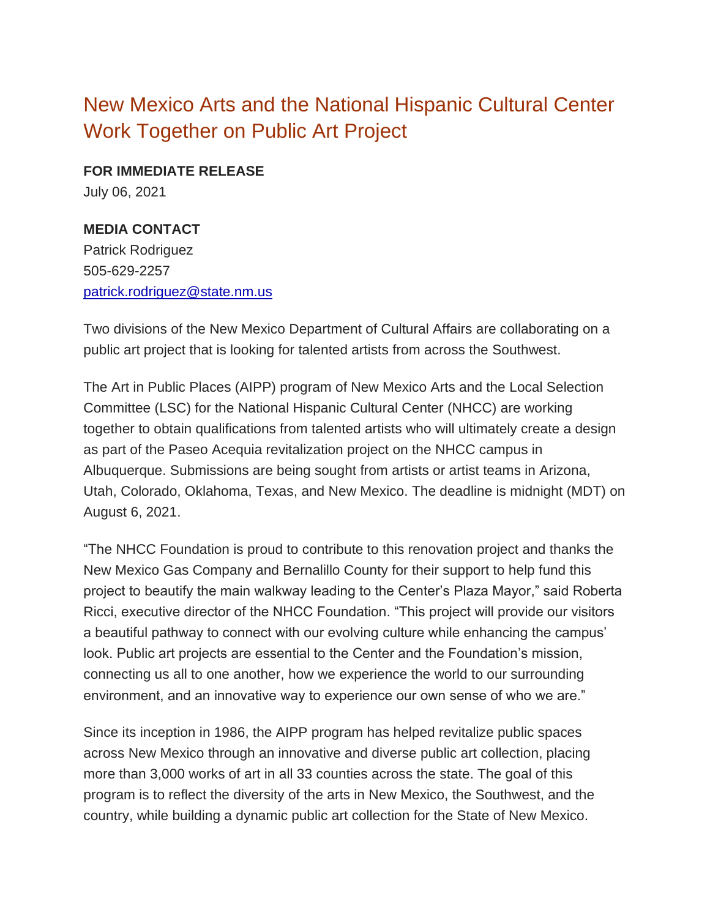## New Mexico Arts and the National Hispanic Cultural Center Work Together on Public Art Project

**FOR IMMEDIATE RELEASE** July 06, 2021

## **MEDIA CONTACT**

Patrick Rodriguez 505-629-2257 [patrick.rodriguez@state.nm.us](mailto:patrick.rodriguez@state.nm.us)

Two divisions of the New Mexico Department of Cultural Affairs are collaborating on a public art project that is looking for talented artists from across the Southwest.

The Art in Public Places (AIPP) program of New Mexico Arts and the Local Selection Committee (LSC) for the National Hispanic Cultural Center (NHCC) are working together to obtain qualifications from talented artists who will ultimately create a design as part of the Paseo Acequia revitalization project on the NHCC campus in Albuquerque. Submissions are being sought from artists or artist teams in Arizona, Utah, Colorado, Oklahoma, Texas, and New Mexico. The deadline is midnight (MDT) on August 6, 2021.

"The NHCC Foundation is proud to contribute to this renovation project and thanks the New Mexico Gas Company and Bernalillo County for their support to help fund this project to beautify the main walkway leading to the Center's Plaza Mayor," said Roberta Ricci, executive director of the NHCC Foundation. "This project will provide our visitors a beautiful pathway to connect with our evolving culture while enhancing the campus' look. Public art projects are essential to the Center and the Foundation's mission, connecting us all to one another, how we experience the world to our surrounding environment, and an innovative way to experience our own sense of who we are."

Since its inception in 1986, the AIPP program has helped revitalize public spaces across New Mexico through an innovative and diverse public art collection, placing more than 3,000 works of art in all 33 counties across the state. The goal of this program is to reflect the diversity of the arts in New Mexico, the Southwest, and the country, while building a dynamic public art collection for the State of New Mexico.